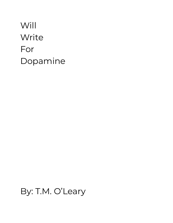# Will Write For Dopamine

## By: T.M. O'Leary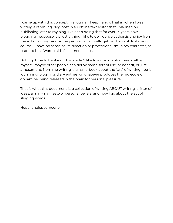I came up with this concept in a journal I keep handy. That is, when I was writing a rambling blog post in an offline text editor that I planned on publishing later to my blog. I've been doing that for over 14 years now blogging. I suppose it is just a thing I like to do. I derive catharsis and joy from the act of writing, and some people can actually get paid from it. Not me, of course - I have no sense of life direction or professionalism in my character, so I cannot be a Wordsmith for someone else.

But it got me to thinking (this whole "I like to write" mantra I keep telling myself): maybe other people can derive some sort of use, or benefit, or just amusement, from me writing a small e-book about the "art" of writing - be it journaling, blogging, diary entries, or whatever produces the molecule of dopamine being released in the brain for personal pleasure.

That is what this document is: a collection of writing ABOUT writing, a litter of ideas, a mini-manifesto of personal beliefs, and how I go about the act of slinging words.

Hope it helps someone.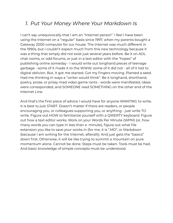## *1. Put Your Money Where Your Markdown Is*

I can't say unequivocally that I am an "Internet person". I feel I have been using the Internet on a "regular" basis since 1997, when my parents bought a Gateway 2000 computer for our house. The Internet was much different in the 1990s, but I couldn't expect much from this new technology because it was a thing that simply did not exist just several years before. Be it on AOL chat rooms, or odd forums, or just in a text editor with the "hopes" of publishing online someday - I would write out longhand pieces of teenage garbage - some of it made it to the WWW, some of it did not - all of it lost to digital oblivion. But, it got me started. Got my fingers moving. Planted a seed. Had me thinking in ways a "writer would think". Be it longhand, shorthand, poetry, prose, or prissy mad video game rants - words were manifested, ideas were corresponded, and SOMEONE read SOMETHING on the other end of the Internet Line.

And that's the first piece of advice I would have for anyone WANTING to write. It is best to just START. Doesn't matter if there are readers, or people encouraging you, or colleagues supporting you, or anything - just write TO write. Figure out HOW to familiarize yourself with a QWERTY keyboard. Figure out how a text editor works. Work on your Words Per Minute (WPM) (or, how many words you can type in less than a minute), figure out what file extension you like to save your works in (for me, it is ".MD", or Markdown (because I am writing for the Internet, afterall)). And just gets the "basics" down first. Otherwise, it will be like trying to summit a mountain on pure momentum alone. Cannot be done. Steps must be taken. Tools must be had. And basic knowledge of simple concepts must be understood.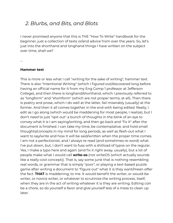### *2. Blurbs, and Bits, and Blots*

I never promised anyone that this is THE "How To Write" handbook for the beginner, just a collection of texts or/and advice from over the years. So, let's just into the shorthand and longhand things I have written on the subject over time, shall we?

…

#### **Hammer text**

This is more or less what I call "writing for the sake of writing", hammer text. There is also "Intentional Writing" (which I figured out/discovered long before having an official name for it from my Eng Comp 1 professor at Jefferson College), and then there is longhand/shorthand, which I previously referred to as "longform" and "shortform" (which are not proper terms, at all). Then there is poetry and prose, which I do well at the latter, fail miserably (usually) at the former. And then it all comes together in the end with being edited. Really, I edit as I go along (which would be maddening for most people, I realize), but I don't *need* to just "spit out" a bunch of thoughts in the blink of an eye to convey what it is I am saying/writing, and then go back and "fix it" after the document is finished. I can take my time, be contemplative, and hold small thoughts/concepts in my mind for long periods, as well as *flesh-out* what I want to say/write and how it will be said/written when the proper time comes. I am not a perfectionist, and I always re-read (and sometimes re-word) what I've put down, but, I don't want to fuss with a shitload of typos on the regular. Yes, I make a typo here and again (and fix it right away, usually), but a lot of people make what I would call **write-os** (not writeOS (which actually sounds like a really cool concept)). That is, say some junk that is nothing resembling real words, or grammar that is simply "poor", or playing a text-based puzzle game after writing a document to "figure out" what it is they want/mean *after* the fact. **THAT** is maddening, to me. It would benefit the writer, or would-be writer, or novice writer, or whatever to scrutinize the writing *process*, itself, when they are in the act of writing whatever it is they are writing. Editing *can* be a chore, so do yourself a favor and give yourself less of a mess to clean up later.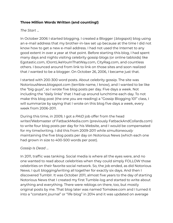#### **Three Million Words Written (and counting!)**

#### *The Start* ...

In October 2006 I started blogging. I created a Blogger (.blogspot) blog using an e-mail address that my brother-in-law set up because at the time I did not know how to get a new e-mail address. I had not used the Internet to any good extent in over a year at that point. Before starting this blog, I had spent many days and nights visiting celebrity gossip blogs (or online tabloids) like Egotastic.com, IDontLikeYouInThatWay.com, CityRag.com, and countless others. I bounced around from link to link on those sites and soon realized that *I* wanted to be a blogger. On October 26, 2006, I became just that.

I started with 200-300 word posts. About celebrity gossip. The site was NotoriousNews.blogspot.com (terrible name, I know), and I wanted to be like the "big guys", so I wrote five blog posts per day. Five days a week. Not including the "daily links" that I had up around lunchtime each day. To not make this blog post (the one you are reading) a "Gossip Blogging 101" class, I will summarize by saying that I wrote on this blog five days a week, every week from 2006-2011.

During this time, in 2009, I got a *PAID* job offer from the head writer/Webmaster of FatbackMedia.com (previously FatbackAndCollards.com) to write four blog posts per day for his Website, and I would be compensated for my time/writing. I did this from 2009-2011 while *simultaneously* maintaining the five blog posts per day on Notorious News (which each one had grown in size to 400-500 words per post).

#### *Gossip Is Dead* ...

In 2011, traffic was tanking. Social media is where all the eyes were, and no one wanted to read about celebrities when they could simply FOLLOW those celebrities on their favorite social network. So, the job ended, as did Notorious News. I quit blogging/writing all together for exactly six days. And then I discovered Tumblr. It was October 2011, almost five years to the day of starting Notorious News that I created my first Tumble-log and started to write about anything and everything. There were reblogs on there, too, but mostly original posts by me. That blog later was named Tomskee.com and I turned it into a "constant journal" or "life blog" in 2014 and it was updated on average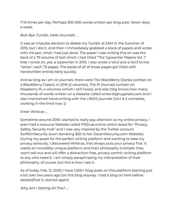7-10 times per day. Perhaps 300-500 words written per blog post. Seven days a week.

#### *Buh-Bye Tumblr, Hello Journals!* ...

It was an impulse decision to delete my Tumblr at 2AM in the Summer of 2015, but I did it. And then I immediately grabbed a stack of papers and wrote, with ink pen, what I had just done. The paper I was writing this on was the back of a 75 volume of text which I had titled "The Typewriter Papers Vol. 1" that I wrote on, yes, a typewriter in 2015. I also wrote a Vol.2 and a Vol.3 to the "series", each 75 pages. The backs of all of those pages got filled with handwritten entries fairly quickly.

And as long as I am on journals, there were The BlackBerry Diaries (written on a BlackBerry Classic) in 2016 (2 volumes), The Pi Journals (written on Raspberry Pi, 4 volumes (which I still have)), and also Dog knows how many thousands of words written on a Website called writer.bighugelabs.com.And I also maintained hand-writing with the LifeOS journals (Vol.1 & 2 complete, working in the third now :))

#### *Enter Write.as* ...

Sometime around 2016 I started to really pay attention to my online privacy. I even had a resource Website called PSShub.online which stood for "Privacy, Safety, Security Hub" and I was very inspired by the Twitter account SwiftOnSecurity (even donating \$20 to her DecentSecurity.com Website). During my quest for the perfect writing platform and wanting to take my privacy seriously, I discovered Write.as, that always puts your privacy first. It was/is an incredibly unique platform, and their philosophy is simple: they won't sell-out and will offer a distraction-free, privacy-centric writing platform to any who need it. I am simply paraphrasing my interpretation of their philosophy, of course, but this is how I see it.

As of today, Feb. 12, 2020, I have 1,500+ blog posts on this platform starting just a bit over two years ago (on this blog anyway. I had a blog on here before, deleted/lost it, started again)

*Why Am I Stating All This?* ...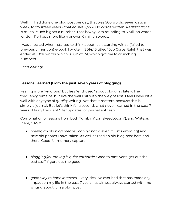Well, if I had done one blog post per day, that was 500 words, seven days a week, for fourteen years – that equals 2,555,000 words written. *Realistically* it is much, Much higher a number. That is why I am rounding to 3 Million words written. Perhaps more like 4 or even 6 million words.

I was shocked when I started to think about it all, starting with a (failed to previously mention) e-book I wrote in 2014/15 titled "Job Corps Rule!" that was ended at 100K words, which is 10% of 1M, which got me to crunching numbers.

*Keep writing!*

#### **Lessons Learned (from the past seven years of blogging)**

Feeling more "vigorous" but less "enthused" about blogging lately. The frequency remains, but like the wall I hit with the weight loss, I feel I have hit a wall with any type of *quality* writing. Not that it matters, because this is simply a journal. But let's think for a second, what *have* I learned in the past 7 years of fairly frequent "life" updates (or journal entries)?

Combination of lessons from both Tumblr, ("tomskeedotcom"), and Write.as (here, "TMO"):

- *having an old blog means I can go back* (even if just skimming) and save old photos I have taken. As well as read an old blog post here and there. Good for memory capture.
- *blogging/journaling is quite cathartic*. Good to rant, vent, get out the bad stuff, figure out the good.
- *good way to hone interests*. Every idea I've ever had that has made any impact on my life in the past 7 years has almost always started with me writing about it in a blog post.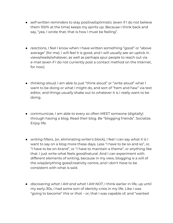- *self-written reminders* to stay positive/optimistic (even if I do not believe them 100% at the time) keeps my spirits up. Because I think back and say, "yea, I wrote that, that is how I must be feeling".
- *reactions*, I feel I know when I have written something "good" or "above average" (for me). I will *feel* it is good, and I will usually see an uptick in views/reads/whatever, as well as perhaps spur people to reach out via e-mail (even if I do not currently post a contact method on the Internet, for now).
- *thinking aloud*, I am able to just "think aloud" or "write aloud" what I want to be doing or what I might do, and sort of "hem and haw" via text editor, and things usually shake out to whatever it is I really want to be doing.
- *communicae*, I am able to every so often MEET someone (digitally) through having a blog. Read *their* blog. Be "blogging friends". Socialize. Enjoy life.
- *writing filters*, (or, eliminating writer's block), I feel I can say *what it is* I want to say on a blog more these days. Less "I have to be so and so", or, "I have to be on-brand", or "I have to maintain a theme", or anything like that. I just write what feels good/natural. And I can experiment with different elements *of* writing, because in my view, blogging is a will of the wisp/anything goes/creativity centre, and I don't *have* to be consistent with what is said.
- *discovering what I AM and what I AM NOT*, I think earlier in life, up until my early-30s, I had some sort of identity crisis in my life. Like I was "going to become" *this* or *that* – or, that I was capable of, and "wanted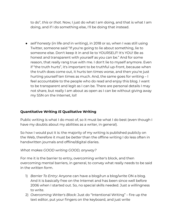to do", *this* or *that*. Now, I just do what I am doing, and that is what I am doing, and if I do something else, I'll be doing that instead.

● *self honesty* (in life *and* in writing), in 2018 or so, when I was still using Twitter, someone said "If you're going to lie about something, lie to someone else. Don't keep it in and lie to YOURSELF! It's YOU! Be as honest and transparent with yourself as you can be." And for some reason, that really rang true with me. I don't lie to myself anymore. Even if "the truth hurts", it's important to be truthful up-front, because when the truth does come out, it hurts ten times worse, and then you're just hurting yourself ten times as much. And, the same goes for writing – I feel accountable to the people who do read and enjoy this blog. I want to be transparent and legit as I can be. There are personal details I may not share, but really I am about as open as I can be without giving away my SSN on the Internet, lol!

#### **Quantitative Writing** *IS* **Qualitative Writing**

Public writing is what I do most of, so it must be what I do best (even though I have my doubts about my abilities as a writer, in general).

So how I would put it is: the majority of my writing is published publicly on the Web, therefore it must be *better* than the offline writing I do less often in handwritten journals and offline/digital diaries.

#### *What makes GOOD writing GOOD, anyway?*

For me it is the barrier to entry, overcoming writer's block, and then overcoming mental barriers, in general, to convey what really needs to be said in the written form.

- 1) *Barrier To Entry*: Anyone can have a blog/run a blog/write ON a blog. And it is basically free on the Internet and has been since well before 2006 when I started out. So, no special skills needed. Just a willingness to write.
- 2) *Overcoming Writer's Block*: Just do "Intentional Writing" fire up the text editor, put your fingers on the keyboard, and just write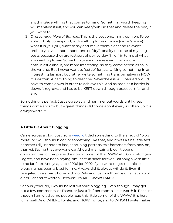anything/everything that comes to mind. Something worth keeping will manifest itself, and you can keep/publish that and delete the rest, if you want to.

3) *Overcoming Mental Barriers*: This is the best one, in my opinion. To be able to truly correspond, with shifting tones of voice (writer's voice) what it is you (or I) want to say and make them clear and relevant. I probably have a more monotone or "dry" tonality to some of my blog posts because they are just sort of day-by-day "filler" in terms of what I am wanting to say. Some things are more relevant, I am more enthusiastic about, are more interesting, so they come across as so in the writing. But I never want to "settle" for *just* writing something in an interesting fashion, but rather write something transformative in HOW it is written. A hard thing to describe. Nevertheless, ALL barriers would have to come down in order to achieve this. And as soon as a barrier is down, it regrows and has to be KEPT down through practice, trial, and error.

So, nothing is perfect. Just slog away and hammer out words until great things come about – but – great things *DO* come about every so often. So it is always worth it.

#### **A Little Bit About Blogging**

Came across a blog post from [werd.io](https://werd.io) titled something to the effect of "blog more" or "You should blog", or something like that, and it was a fine little text hammer (I'll just refer to fast, short blog posts as text hammers from now on, thanks). Saying that everyone can/should maintain a blog, it opens opportunities for people, is their own corner of the WWW, etc. Good stuff (and I agree, and have been saying similar stuff since forever – although with little to no fanfare). And yea, since 2006 (or 2002 if you want to get technical), blogging has been a blast for me. Always did it, always will do it. Even if relegated to a smartphone with no WiFi and just my thumbs on a flat slab of glass, I get stuff written. Because iT's AlL i KnoW! LMAO!

Seriously though, I would be lost without blogging. Even though I may get but a few comments, or Thanx, or just a "hi" per month – it is worth it. Because though I am glad some people read this little corner of the WWW, it is here for myself. And WHERE I write, and HOW I write, and to WHOM I write makes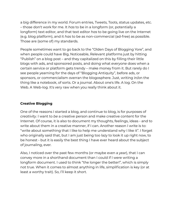a big difference in my world. Forum entries, Tweets, Toots, status updates, etc. – those don't work for me. It *has* to be in a longform (or, potentially a longform) text editor, and that text editor *has* to be going live on the Internet (e.g. blog platform), and it *has* to be as non-commercial (ad-free) as possible. Those are (some of) my standards.

People sometimes want to go back to the "Olden Days of Blogging Yore", and when people could have Big, Noticeable, Relevant platforms just by hitting "Publish" on a blog post – and they capitalized on this by filling their little blogs with ads, and sponsored posts, and doing what *everyone* does when a certain service or platform gets trendy – make money from it. But rarely do I see people yearning for the days of "Blogging Antiquity", before ads, or sponsors, or commercialism overran the blogosphere. Just, writing in/on the thing like a notebook, of sorts. Or a journal. About one's life. A log. On the Web. A Web-log. It's very raw when you really think about it.

#### **Creative Blogging**

One of the reasons I started a blog, and continue to blog, is for purposes of *creativity*. I want to *be* a creative person and make creative content for the Internet. Of course, it is also to document my thoughts, feelings, ideas - and to write about them in a creative manner, if I can. Another reason I write is to: "write about something that I like to help me understand why I like it". I forget who originally said that, but I am just being too lazy to look it up right now, to be honest - but it is easily the best thing I have ever heard about the subject of journaling, ever.

Also, I noticed over the past few months (or maybe even a year), that I can convey more in a shorthand document than I could if I were writing a longform document. I used to think "the longer the better!", which is simply not true. When it comes to almost anything in life, simplification is key (or at least a worthy trait). So, I'll keep it short.